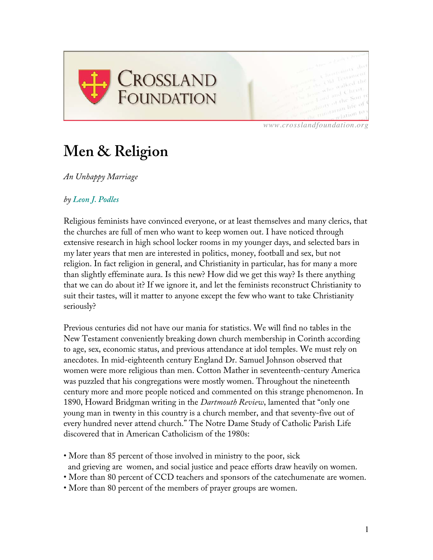

*www.crosslandfoundation.org*

## **Men & Religion**

*An Unhappy Marriage*

## *by Leon J. Podles*

Religious feminists have convinced everyone, or at least themselves and many clerics, that the churches are full of men who want to keep women out. I have noticed through extensive research in high school locker rooms in my younger days, and selected bars in my later years that men are interested in politics, money, football and sex, but not religion. In fact religion in general, and Christianity in particular, has for many a more than slightly effeminate aura. Is this new? How did we get this way? Is there anything that we can do about it? If we ignore it, and let the feminists reconstruct Christianity to suit their tastes, will it matter to anyone except the few who want to take Christianity seriously?

Previous centuries did not have our mania for statistics. We will find no tables in the New Testament conveniently breaking down church membership in Corinth according to age, sex, economic status, and previous attendance at idol temples. We must rely on anecdotes. In mid-eighteenth century England Dr. Samuel Johnson observed that women were more religious than men. Cotton Mather in seventeenth-century America was puzzled that his congregations were mostly women. Throughout the nineteenth century more and more people noticed and commented on this strange phenomenon. In 1890, Howard Bridgman writing in the *Dartmouth Review*, lamented that "only one young man in twenty in this country is a church member, and that seventy-five out of every hundred never attend church." The Notre Dame Study of Catholic Parish Life discovered that in American Catholicism of the 1980s:

• More than 85 percent of those involved in ministry to the poor, sick and grieving are women, and social justice and peace efforts draw heavily on women.

- More than 80 percent of CCD teachers and sponsors of the catechumenate are women.
- More than 80 percent of the members of prayer groups are women.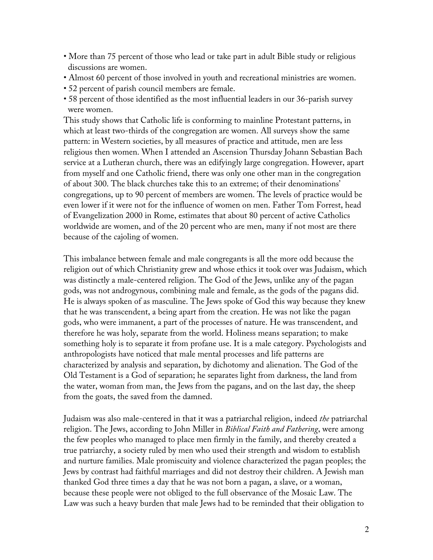- More than 75 percent of those who lead or take part in adult Bible study or religious discussions are women.
- Almost 60 percent of those involved in youth and recreational ministries are women.
- 52 percent of parish council members are female.
- 58 percent of those identified as the most influential leaders in our 36-parish survey were women.

This study shows that Catholic life is conforming to mainline Protestant patterns, in which at least two-thirds of the congregation are women. All surveys show the same pattern: in Western societies, by all measures of practice and attitude, men are less religious then women. When I attended an Ascension Thursday Johann Sebastian Bach service at a Lutheran church, there was an edifyingly large congregation. However, apart from myself and one Catholic friend, there was only one other man in the congregation of about 300. The black churches take this to an extreme; of their denominations' congregations, up to 90 percent of members are women. The levels of practice would be even lower if it were not for the influence of women on men. Father Tom Forrest, head of Evangelization 2000 in Rome, estimates that about 80 percent of active Catholics worldwide are women, and of the 20 percent who are men, many if not most are there because of the cajoling of women.

This imbalance between female and male congregants is all the more odd because the religion out of which Christianity grew and whose ethics it took over was Judaism, which was distinctly a male-centered religion. The God of the Jews, unlike any of the pagan gods, was not androgynous, combining male and female, as the gods of the pagans did. He is always spoken of as masculine. The Jews spoke of God this way because they knew that he was transcendent, a being apart from the creation. He was not like the pagan gods, who were immanent, a part of the processes of nature. He was transcendent, and therefore he was holy, separate from the world. Holiness means separation; to make something holy is to separate it from profane use. It is a male category. Psychologists and anthropologists have noticed that male mental processes and life patterns are characterized by analysis and separation, by dichotomy and alienation. The God of the Old Testament is a God of separation; he separates light from darkness, the land from the water, woman from man, the Jews from the pagans, and on the last day, the sheep from the goats, the saved from the damned.

Judaism was also male-centered in that it was a patriarchal religion, indeed *the* patriarchal religion. The Jews, according to John Miller in *Biblical Faith and Fathering*, were among the few peoples who managed to place men firmly in the family, and thereby created a true patriarchy, a society ruled by men who used their strength and wisdom to establish and nurture families. Male promiscuity and violence characterized the pagan peoples; the Jews by contrast had faithful marriages and did not destroy their children. A Jewish man thanked God three times a day that he was not born a pagan, a slave, or a woman, because these people were not obliged to the full observance of the Mosaic Law. The Law was such a heavy burden that male Jews had to be reminded that their obligation to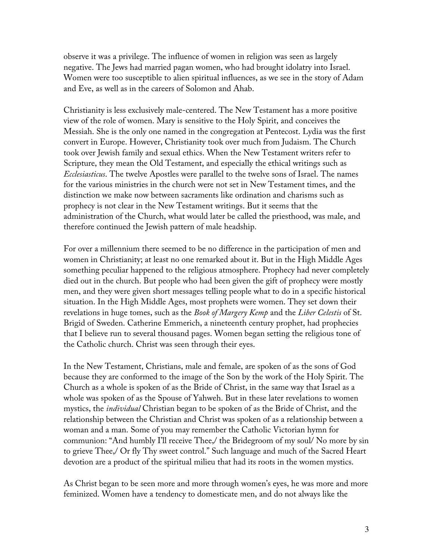observe it was a privilege. The influence of women in religion was seen as largely negative. The Jews had married pagan women, who had brought idolatry into Israel. Women were too susceptible to alien spiritual influences, as we see in the story of Adam and Eve, as well as in the careers of Solomon and Ahab.

Christianity is less exclusively male-centered. The New Testament has a more positive view of the role of women. Mary is sensitive to the Holy Spirit, and conceives the Messiah. She is the only one named in the congregation at Pentecost. Lydia was the first convert in Europe. However, Christianity took over much from Judaism. The Church took over Jewish family and sexual ethics. When the New Testament writers refer to Scripture, they mean the Old Testament, and especially the ethical writings such as *Ecclesiasticus*. The twelve Apostles were parallel to the twelve sons of Israel. The names for the various ministries in the church were not set in New Testament times, and the distinction we make now between sacraments like ordination and charisms such as prophecy is not clear in the New Testament writings. But it seems that the administration of the Church, what would later be called the priesthood, was male, and therefore continued the Jewish pattern of male headship.

For over a millennium there seemed to be no difference in the participation of men and women in Christianity; at least no one remarked about it. But in the High Middle Ages something peculiar happened to the religious atmosphere. Prophecy had never completely died out in the church. But people who had been given the gift of prophecy were mostly men, and they were given short messages telling people what to do in a specific historical situation. In the High Middle Ages, most prophets were women. They set down their revelations in huge tomes, such as the *Book of Margery Kemp* and the *Liber Celestis* of St. Brigid of Sweden. Catherine Emmerich, a nineteenth century prophet, had prophecies that I believe run to several thousand pages. Women began setting the religious tone of the Catholic church. Christ was seen through their eyes.

In the New Testament, Christians, male and female, are spoken of as the sons of God because they are conformed to the image of the Son by the work of the Holy Spirit. The Church as a whole is spoken of as the Bride of Christ, in the same way that Israel as a whole was spoken of as the Spouse of Yahweh. But in these later revelations to women mystics, the *individual* Christian began to be spoken of as the Bride of Christ, and the relationship between the Christian and Christ was spoken of as a relationship between a woman and a man. Some of you may remember the Catholic Victorian hymn for communion: "And humbly I'll receive Thee,/ the Bridegroom of my soul/ No more by sin to grieve Thee,/ Or fly Thy sweet control." Such language and much of the Sacred Heart devotion are a product of the spiritual milieu that had its roots in the women mystics.

As Christ began to be seen more and more through women's eyes, he was more and more feminized. Women have a tendency to domesticate men, and do not always like the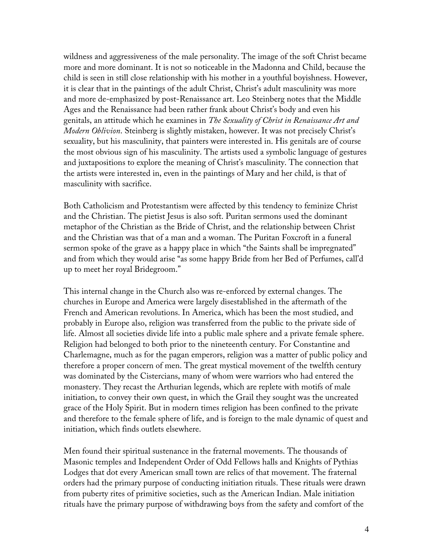wildness and aggressiveness of the male personality. The image of the soft Christ became more and more dominant. It is not so noticeable in the Madonna and Child, because the child is seen in still close relationship with his mother in a youthful boyishness. However, it is clear that in the paintings of the adult Christ, Christ's adult masculinity was more and more de-emphasized by post-Renaissance art. Leo Steinberg notes that the Middle Ages and the Renaissance had been rather frank about Christ's body and even his genitals, an attitude which he examines in *The Sexuality of Christ in Renaissance Art and Modern Oblivion*. Steinberg is slightly mistaken, however. It was not precisely Christ's sexuality, but his masculinity, that painters were interested in. His genitals are of course the most obvious sign of his masculinity. The artists used a symbolic language of gestures and juxtapositions to explore the meaning of Christ's masculinity. The connection that the artists were interested in, even in the paintings of Mary and her child, is that of masculinity with sacrifice.

Both Catholicism and Protestantism were affected by this tendency to feminize Christ and the Christian. The pietist Jesus is also soft. Puritan sermons used the dominant metaphor of the Christian as the Bride of Christ, and the relationship between Christ and the Christian was that of a man and a woman. The Puritan Foxcroft in a funeral sermon spoke of the grave as a happy place in which "the Saints shall be impregnated" and from which they would arise "as some happy Bride from her Bed of Perfumes, call'd up to meet her royal Bridegroom."

This internal change in the Church also was re-enforced by external changes. The churches in Europe and America were largely disestablished in the aftermath of the French and American revolutions. In America, which has been the most studied, and probably in Europe also, religion was transferred from the public to the private side of life. Almost all societies divide life into a public male sphere and a private female sphere. Religion had belonged to both prior to the nineteenth century. For Constantine and Charlemagne, much as for the pagan emperors, religion was a matter of public policy and therefore a proper concern of men. The great mystical movement of the twelfth century was dominated by the Cistercians, many of whom were warriors who had entered the monastery. They recast the Arthurian legends, which are replete with motifs of male initiation, to convey their own quest, in which the Grail they sought was the uncreated grace of the Holy Spirit. But in modern times religion has been confined to the private and therefore to the female sphere of life, and is foreign to the male dynamic of quest and initiation, which finds outlets elsewhere.

Men found their spiritual sustenance in the fraternal movements. The thousands of Masonic temples and Independent Order of Odd Fellows halls and Knights of Pythias Lodges that dot every American small town are relics of that movement. The fraternal orders had the primary purpose of conducting initiation rituals. These rituals were drawn from puberty rites of primitive societies, such as the American Indian. Male initiation rituals have the primary purpose of withdrawing boys from the safety and comfort of the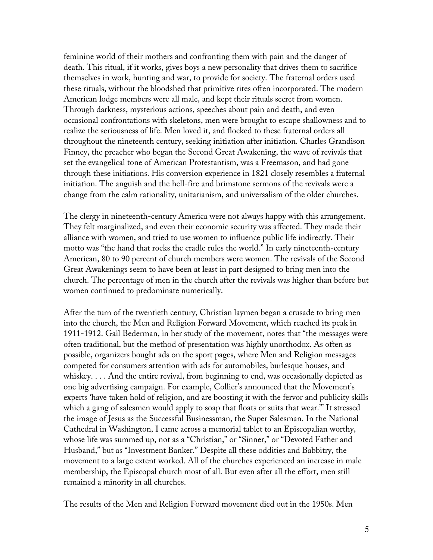feminine world of their mothers and confronting them with pain and the danger of death. This ritual, if it works, gives boys a new personality that drives them to sacrifice themselves in work, hunting and war, to provide for society. The fraternal orders used these rituals, without the bloodshed that primitive rites often incorporated. The modern American lodge members were all male, and kept their rituals secret from women. Through darkness, mysterious actions, speeches about pain and death, and even occasional confrontations with skeletons, men were brought to escape shallowness and to realize the seriousness of life. Men loved it, and flocked to these fraternal orders all throughout the nineteenth century, seeking initiation after initiation. Charles Grandison Finney, the preacher who began the Second Great Awakening, the wave of revivals that set the evangelical tone of American Protestantism, was a Freemason, and had gone through these initiations. His conversion experience in 1821 closely resembles a fraternal initiation. The anguish and the hell-fire and brimstone sermons of the revivals were a change from the calm rationality, unitarianism, and universalism of the older churches.

The clergy in nineteenth-century America were not always happy with this arrangement. They felt marginalized, and even their economic security was affected. They made their alliance with women, and tried to use women to influence public life indirectly. Their motto was "the hand that rocks the cradle rules the world." In early nineteenth-century American, 80 to 90 percent of church members were women. The revivals of the Second Great Awakenings seem to have been at least in part designed to bring men into the church. The percentage of men in the church after the revivals was higher than before but women continued to predominate numerically.

After the turn of the twentieth century, Christian laymen began a crusade to bring men into the church, the Men and Religion Forward Movement, which reached its peak in 1911-1912. Gail Bederman, in her study of the movement, notes that "the messages were often traditional, but the method of presentation was highly unorthodox. As often as possible, organizers bought ads on the sport pages, where Men and Religion messages competed for consumers attention with ads for automobiles, burlesque houses, and whiskey. . . . And the entire revival, from beginning to end, was occasionally depicted as one big advertising campaign. For example, Collier's announced that the Movement's experts 'have taken hold of religion, and are boosting it with the fervor and publicity skills which a gang of salesmen would apply to soap that floats or suits that wear.'" It stressed the image of Jesus as the Successful Businessman, the Super Salesman. In the National Cathedral in Washington, I came across a memorial tablet to an Episcopalian worthy, whose life was summed up, not as a "Christian," or "Sinner," or "Devoted Father and Husband," but as "Investment Banker." Despite all these oddities and Babbitry, the movement to a large extent worked. All of the churches experienced an increase in male membership, the Episcopal church most of all. But even after all the effort, men still remained a minority in all churches.

The results of the Men and Religion Forward movement died out in the 1950s. Men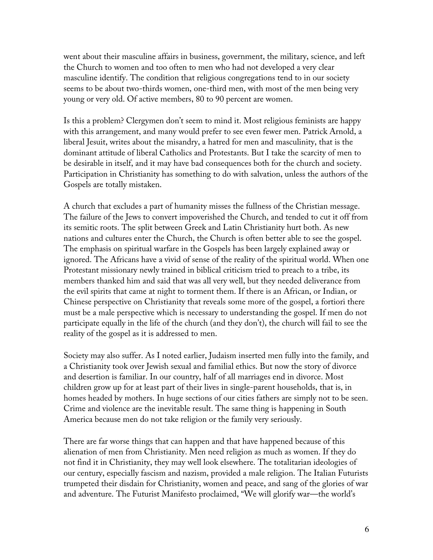went about their masculine affairs in business, government, the military, science, and left the Church to women and too often to men who had not developed a very clear masculine identify. The condition that religious congregations tend to in our society seems to be about two-thirds women, one-third men, with most of the men being very young or very old. Of active members, 80 to 90 percent are women.

Is this a problem? Clergymen don't seem to mind it. Most religious feminists are happy with this arrangement, and many would prefer to see even fewer men. Patrick Arnold, a liberal Jesuit, writes about the misandry, a hatred for men and masculinity, that is the dominant attitude of liberal Catholics and Protestants. But I take the scarcity of men to be desirable in itself, and it may have bad consequences both for the church and society. Participation in Christianity has something to do with salvation, unless the authors of the Gospels are totally mistaken.

A church that excludes a part of humanity misses the fullness of the Christian message. The failure of the Jews to convert impoverished the Church, and tended to cut it off from its semitic roots. The split between Greek and Latin Christianity hurt both. As new nations and cultures enter the Church, the Church is often better able to see the gospel. The emphasis on spiritual warfare in the Gospels has been largely explained away or ignored. The Africans have a vivid of sense of the reality of the spiritual world. When one Protestant missionary newly trained in biblical criticism tried to preach to a tribe, its members thanked him and said that was all very well, but they needed deliverance from the evil spirits that came at night to torment them. If there is an African, or Indian, or Chinese perspective on Christianity that reveals some more of the gospel, a fortiori there must be a male perspective which is necessary to understanding the gospel. If men do not participate equally in the life of the church (and they don't), the church will fail to see the reality of the gospel as it is addressed to men.

Society may also suffer. As I noted earlier, Judaism inserted men fully into the family, and a Christianity took over Jewish sexual and familial ethics. But now the story of divorce and desertion is familiar. In our country, half of all marriages end in divorce. Most children grow up for at least part of their lives in single-parent households, that is, in homes headed by mothers. In huge sections of our cities fathers are simply not to be seen. Crime and violence are the inevitable result. The same thing is happening in South America because men do not take religion or the family very seriously.

There are far worse things that can happen and that have happened because of this alienation of men from Christianity. Men need religion as much as women. If they do not find it in Christianity, they may well look elsewhere. The totalitarian ideologies of our century, especially fascism and nazism, provided a male religion. The Italian Futurists trumpeted their disdain for Christianity, women and peace, and sang of the glories of war and adventure. The Futurist Manifesto proclaimed, "We will glorify war—the world's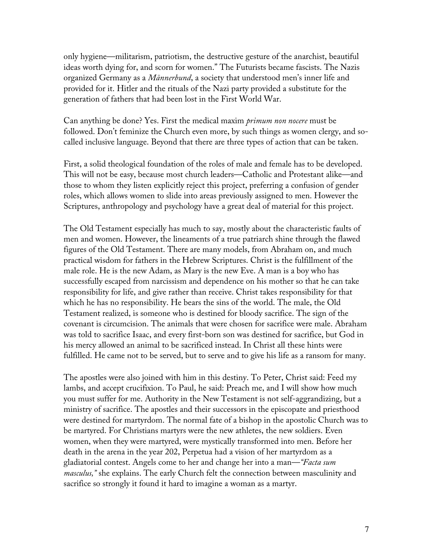only hygiene—militarism, patriotism, the destructive gesture of the anarchist, beautiful ideas worth dying for, and scorn for women." The Futurists became fascists. The Nazis organized Germany as a *Männerbund*, a society that understood men's inner life and provided for it. Hitler and the rituals of the Nazi party provided a substitute for the generation of fathers that had been lost in the First World War.

Can anything be done? Yes. First the medical maxim *primum non nocere* must be followed. Don't feminize the Church even more, by such things as women clergy, and socalled inclusive language. Beyond that there are three types of action that can be taken.

First, a solid theological foundation of the roles of male and female has to be developed. This will not be easy, because most church leaders—Catholic and Protestant alike—and those to whom they listen explicitly reject this project, preferring a confusion of gender roles, which allows women to slide into areas previously assigned to men. However the Scriptures, anthropology and psychology have a great deal of material for this project.

The Old Testament especially has much to say, mostly about the characteristic faults of men and women. However, the lineaments of a true patriarch shine through the flawed figures of the Old Testament. There are many models, from Abraham on, and much practical wisdom for fathers in the Hebrew Scriptures. Christ is the fulfillment of the male role. He is the new Adam, as Mary is the new Eve. A man is a boy who has successfully escaped from narcissism and dependence on his mother so that he can take responsibility for life, and give rather than receive. Christ takes responsibility for that which he has no responsibility. He bears the sins of the world. The male, the Old Testament realized, is someone who is destined for bloody sacrifice. The sign of the covenant is circumcision. The animals that were chosen for sacrifice were male. Abraham was told to sacrifice Isaac, and every first-born son was destined for sacrifice, but God in his mercy allowed an animal to be sacrificed instead. In Christ all these hints were fulfilled. He came not to be served, but to serve and to give his life as a ransom for many.

The apostles were also joined with him in this destiny. To Peter, Christ said: Feed my lambs, and accept crucifixion. To Paul, he said: Preach me, and I will show how much you must suffer for me. Authority in the New Testament is not self-aggrandizing, but a ministry of sacrifice. The apostles and their successors in the episcopate and priesthood were destined for martyrdom. The normal fate of a bishop in the apostolic Church was to be martyred. For Christians martyrs were the new athletes, the new soldiers. Even women, when they were martyred, were mystically transformed into men. Before her death in the arena in the year 202, Perpetua had a vision of her martyrdom as a gladiatorial contest. Angels come to her and change her into a man—*"Facta sum masculus,"* she explains. The early Church felt the connection between masculinity and sacrifice so strongly it found it hard to imagine a woman as a martyr.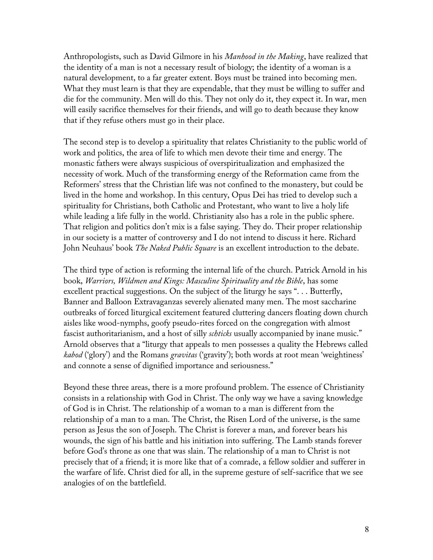Anthropologists, such as David Gilmore in his *Manhood in the Making*, have realized that the identity of a man is not a necessary result of biology; the identity of a woman is a natural development, to a far greater extent. Boys must be trained into becoming men. What they must learn is that they are expendable, that they must be willing to suffer and die for the community. Men will do this. They not only do it, they expect it. In war, men will easily sacrifice themselves for their friends, and will go to death because they know that if they refuse others must go in their place.

The second step is to develop a spirituality that relates Christianity to the public world of work and politics, the area of life to which men devote their time and energy. The monastic fathers were always suspicious of overspiritualization and emphasized the necessity of work. Much of the transforming energy of the Reformation came from the Reformers' stress that the Christian life was not confined to the monastery, but could be lived in the home and workshop. In this century, Opus Dei has tried to develop such a spirituality for Christians, both Catholic and Protestant, who want to live a holy life while leading a life fully in the world. Christianity also has a role in the public sphere. That religion and politics don't mix is a false saying. They do. Their proper relationship in our society is a matter of controversy and I do not intend to discuss it here. Richard John Neuhaus' book *The Naked Public Square* is an excellent introduction to the debate.

The third type of action is reforming the internal life of the church. Patrick Arnold in his book, *Warriors, Wildmen and Kings: Masculine Spirituality and the Bible*, has some excellent practical suggestions. On the subject of the liturgy he says ". . . Butterfly, Banner and Balloon Extravaganzas severely alienated many men. The most saccharine outbreaks of forced liturgical excitement featured cluttering dancers floating down church aisles like wood-nymphs, goofy pseudo-rites forced on the congregation with almost fascist authoritarianism, and a host of silly *schticks* usually accompanied by inane music." Arnold observes that a "liturgy that appeals to men possesses a quality the Hebrews called *kabod* ('glory') and the Romans *gravitas* ('gravity'); both words at root mean 'weightiness' and connote a sense of dignified importance and seriousness."

Beyond these three areas, there is a more profound problem. The essence of Christianity consists in a relationship with God in Christ. The only way we have a saving knowledge of God is in Christ. The relationship of a woman to a man is different from the relationship of a man to a man. The Christ, the Risen Lord of the universe, is the same person as Jesus the son of Joseph. The Christ is forever a man, and forever bears his wounds, the sign of his battle and his initiation into suffering. The Lamb stands forever before God's throne as one that was slain. The relationship of a man to Christ is not precisely that of a friend; it is more like that of a comrade, a fellow soldier and sufferer in the warfare of life. Christ died for all, in the supreme gesture of self-sacrifice that we see analogies of on the battlefield.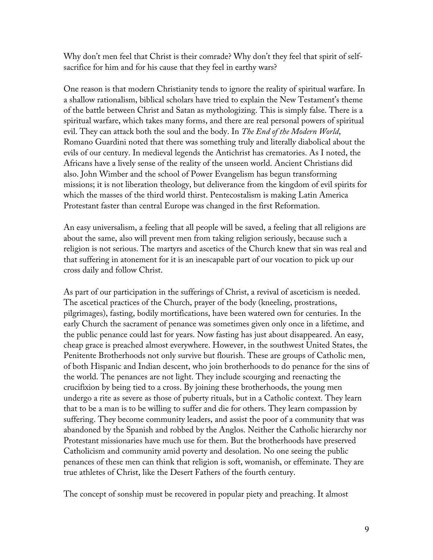Why don't men feel that Christ is their comrade? Why don't they feel that spirit of selfsacrifice for him and for his cause that they feel in earthy wars?

One reason is that modern Christianity tends to ignore the reality of spiritual warfare. In a shallow rationalism, biblical scholars have tried to explain the New Testament's theme of the battle between Christ and Satan as mythologizing. This is simply false. There is a spiritual warfare, which takes many forms, and there are real personal powers of spiritual evil. They can attack both the soul and the body. In *The End of the Modern World*, Romano Guardini noted that there was something truly and literally diabolical about the evils of our century. In medieval legends the Antichrist has crematories. As I noted, the Africans have a lively sense of the reality of the unseen world. Ancient Christians did also. John Wimber and the school of Power Evangelism has begun transforming missions; it is not liberation theology, but deliverance from the kingdom of evil spirits for which the masses of the third world thirst. Pentecostalism is making Latin America Protestant faster than central Europe was changed in the first Reformation.

An easy universalism, a feeling that all people will be saved, a feeling that all religions are about the same, also will prevent men from taking religion seriously, because such a religion is not serious. The martyrs and ascetics of the Church knew that sin was real and that suffering in atonement for it is an inescapable part of our vocation to pick up our cross daily and follow Christ.

As part of our participation in the sufferings of Christ, a revival of asceticism is needed. The ascetical practices of the Church, prayer of the body (kneeling, prostrations, pilgrimages), fasting, bodily mortifications, have been watered own for centuries. In the early Church the sacrament of penance was sometimes given only once in a lifetime, and the public penance could last for years. Now fasting has just about disappeared. An easy, cheap grace is preached almost everywhere. However, in the southwest United States, the Penitente Brotherhoods not only survive but flourish. These are groups of Catholic men, of both Hispanic and Indian descent, who join brotherhoods to do penance for the sins of the world. The penances are not light. They include scourging and reenacting the crucifixion by being tied to a cross. By joining these brotherhoods, the young men undergo a rite as severe as those of puberty rituals, but in a Catholic context. They learn that to be a man is to be willing to suffer and die for others. They learn compassion by suffering. They become community leaders, and assist the poor of a community that was abandoned by the Spanish and robbed by the Anglos. Neither the Catholic hierarchy nor Protestant missionaries have much use for them. But the brotherhoods have preserved Catholicism and community amid poverty and desolation. No one seeing the public penances of these men can think that religion is soft, womanish, or effeminate. They are true athletes of Christ, like the Desert Fathers of the fourth century.

The concept of sonship must be recovered in popular piety and preaching. It almost